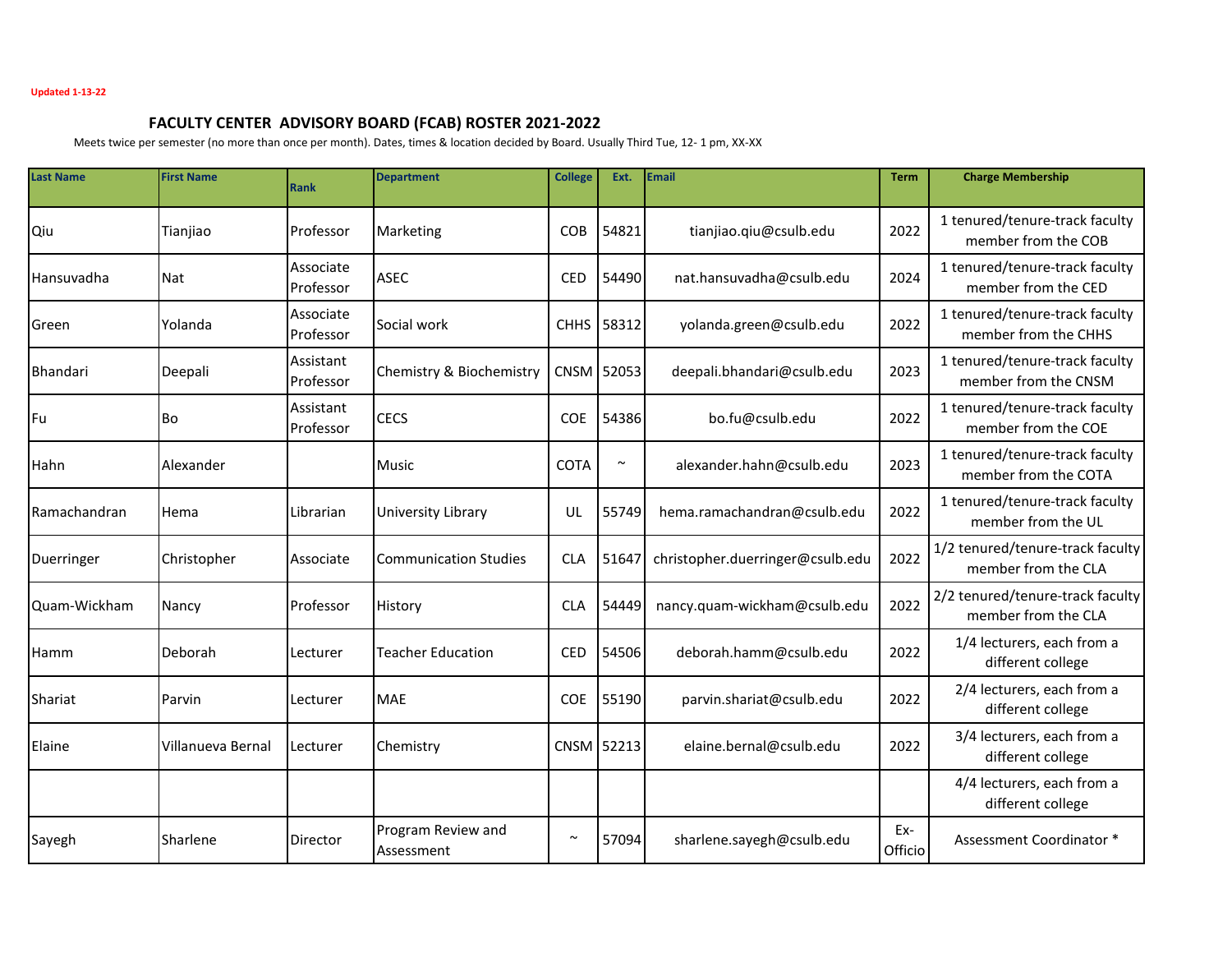## **FACULTY CENTER ADVISORY BOARD (FCAB) ROSTER 2021-2022**

Meets twice per semester (no more than once per month). Dates, times & location decided by Board. Usually Third Tue, 12- 1 pm, XX-XX

| <b>Last Name</b>      | <b>First Name</b> | <b>Rank</b>            | <b>Department</b>                | <b>College</b> | Ext.       | <b>Email</b>                     | <b>Term</b>    | <b>Charge Membership</b>                                |
|-----------------------|-------------------|------------------------|----------------------------------|----------------|------------|----------------------------------|----------------|---------------------------------------------------------|
| Qiu                   | Tianjiao          | Professor              | Marketing                        | <b>COB</b>     | 54821      | tianjiao.qiu@csulb.edu           | 2022           | 1 tenured/tenure-track faculty<br>member from the COB   |
| Hansuvadha            | Nat               | Associate<br>Professor | <b>ASEC</b>                      | <b>CED</b>     | 54490      | nat.hansuvadha@csulb.edu         | 2024           | 1 tenured/tenure-track faculty<br>member from the CED   |
| lGreen                | Yolanda           | Associate<br>Professor | Social work                      |                | CHHS 58312 | yolanda.green@csulb.edu          | 2022           | 1 tenured/tenure-track faculty<br>member from the CHHS  |
| Bhandari              | Deepali           | Assistant<br>Professor | Chemistry & Biochemistry         |                | CNSM 52053 | deepali.bhandari@csulb.edu       | 2023           | 1 tenured/tenure-track faculty<br>member from the CNSM  |
| Fu                    | lBo               | Assistant<br>Professor | <b>CECS</b>                      | <b>COE</b>     | 54386      | bo.fu@csulb.edu                  | 2022           | 1 tenured/tenure-track faculty<br>member from the COE   |
| <b>Hahn</b>           | Alexander         |                        | <b>Music</b>                     | <b>COTA</b>    | $\sim$     | alexander.hahn@csulb.edu         | 2023           | 1 tenured/tenure-track faculty<br>member from the COTA  |
| <b>I</b> Ramachandran | Hema              | Librarian              | University Library               | UL             | 55749      | hema.ramachandran@csulb.edu      | 2022           | 1 tenured/tenure-track faculty<br>member from the UL    |
| Duerringer            | Christopher       | Associate              | <b>Communication Studies</b>     | <b>CLA</b>     | 51647      | christopher.duerringer@csulb.edu | 2022           | 1/2 tenured/tenure-track faculty<br>member from the CLA |
| Quam-Wickham          | Nancy             | Professor              | History                          | <b>CLA</b>     | 54449      | nancy.quam-wickham@csulb.edu     | 2022           | 2/2 tenured/tenure-track faculty<br>member from the CLA |
| Hamm                  | Deborah           | Lecturer               | <b>Teacher Education</b>         | <b>CED</b>     | 54506      | deborah.hamm@csulb.edu           | 2022           | 1/4 lecturers, each from a<br>different college         |
| Shariat               | Parvin            | Lecturer               | <b>MAE</b>                       | <b>COE</b>     | 55190      | parvin.shariat@csulb.edu         | 2022           | 2/4 lecturers, each from a<br>different college         |
| Elaine                | Villanueva Bernal | Lecturer               | Chemistry                        | CNSM 52213     |            | elaine.bernal@csulb.edu          | 2022           | 3/4 lecturers, each from a<br>different college         |
|                       |                   |                        |                                  |                |            |                                  |                | 4/4 lecturers, each from a<br>different college         |
| Sayegh                | <b>ISharlene</b>  | Director               | Program Review and<br>Assessment | $\sim$         | 57094      | sharlene.sayegh@csulb.edu        | Ex-<br>Officio | Assessment Coordinator *                                |